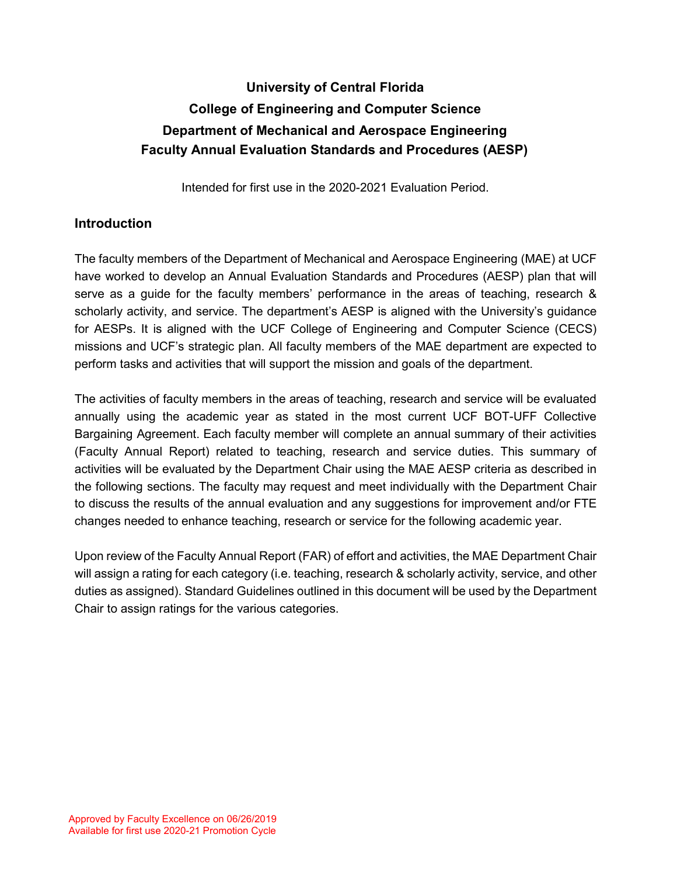# **University of Central Florida College of Engineering and Computer Science Department of Mechanical and Aerospace Engineering Faculty Annual Evaluation Standards and Procedures (AESP)**

Intended for first use in the 2020-2021 Evaluation Period.

## **Introduction**

The faculty members of the Department of Mechanical and Aerospace Engineering (MAE) at UCF have worked to develop an Annual Evaluation Standards and Procedures (AESP) plan that will serve as a guide for the faculty members' performance in the areas of teaching, research & scholarly activity, and service. The department's AESP is aligned with the University's guidance for AESPs. It is aligned with the UCF College of Engineering and Computer Science (CECS) missions and UCF's strategic plan. All faculty members of the MAE department are expected to perform tasks and activities that will support the mission and goals of the department.

The activities of faculty members in the areas of teaching, research and service will be evaluated annually using the academic year as stated in the most current UCF BOT-UFF Collective Bargaining Agreement. Each faculty member will complete an annual summary of their activities (Faculty Annual Report) related to teaching, research and service duties. This summary of activities will be evaluated by the Department Chair using the MAE AESP criteria as described in the following sections. The faculty may request and meet individually with the Department Chair to discuss the results of the annual evaluation and any suggestions for improvement and/or FTE changes needed to enhance teaching, research or service for the following academic year.

Upon review of the Faculty Annual Report (FAR) of effort and activities, the MAE Department Chair will assign a rating for each category (i.e. teaching, research & scholarly activity, service, and other duties as assigned). Standard Guidelines outlined in this document will be used by the Department Chair to assign ratings for the various categories.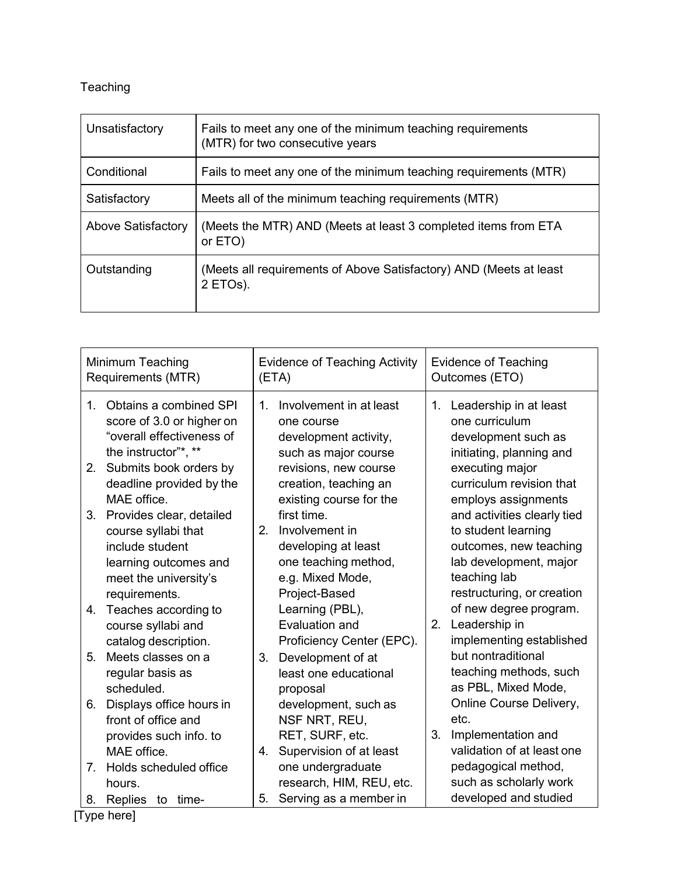## Teaching

| Unsatisfactory     | Fails to meet any one of the minimum teaching requirements<br>(MTR) for two consecutive years |
|--------------------|-----------------------------------------------------------------------------------------------|
| Conditional        | Fails to meet any one of the minimum teaching requirements (MTR)                              |
| Satisfactory       | Meets all of the minimum teaching requirements (MTR)                                          |
| Above Satisfactory | (Meets the MTR) AND (Meets at least 3 completed items from ETA<br>or ETO)                     |
| Outstanding        | (Meets all requirements of Above Satisfactory) AND (Meets at least<br>2 ETOs).                |

| Minimum Teaching<br>Requirements (MTR)                                                                                                      | Evidence of Teaching Activity<br>(ETA)                                                                                  | <b>Evidence of Teaching</b><br>Outcomes (ETO)                                                                                                        |
|---------------------------------------------------------------------------------------------------------------------------------------------|-------------------------------------------------------------------------------------------------------------------------|------------------------------------------------------------------------------------------------------------------------------------------------------|
| Obtains a combined SPI<br>$1_{-}$<br>score of 3.0 or higher on<br>"overall effectiveness of<br>the instructor"*, **                         | Involvement in at least<br>1 <sub>1</sub><br>one course<br>development activity,<br>such as major course                | 1. Leadership in at least<br>one curriculum<br>development such as<br>initiating, planning and                                                       |
| Submits book orders by<br>2.<br>deadline provided by the<br>MAE office.                                                                     | revisions, new course<br>creation, teaching an<br>existing course for the                                               | executing major<br>curriculum revision that<br>employs assignments                                                                                   |
| Provides clear, detailed<br>3.<br>course syllabi that<br>include student<br>learning outcomes and<br>meet the university's<br>requirements. | first time.<br>2.<br>Involvement in<br>developing at least<br>one teaching method,<br>e.g. Mixed Mode,<br>Project-Based | and activities clearly tied<br>to student learning<br>outcomes, new teaching<br>lab development, major<br>teaching lab<br>restructuring, or creation |
| Teaches according to<br>4.<br>course syllabi and<br>catalog description.                                                                    | Learning (PBL),<br>Evaluation and<br>Proficiency Center (EPC).                                                          | of new degree program.<br>2.<br>Leadership in<br>implementing established                                                                            |
| 5.<br>Meets classes on a<br>regular basis as<br>scheduled.                                                                                  | Development of at<br>3.<br>least one educational<br>proposal                                                            | but nontraditional<br>teaching methods, such<br>as PBL, Mixed Mode,                                                                                  |
| Displays office hours in<br>6.<br>front of office and<br>provides such info. to                                                             | development, such as<br>NSF NRT, REU,<br>RET, SURF, etc.                                                                | Online Course Delivery,<br>etc.<br>Implementation and<br>3.                                                                                          |
| MAE office.<br>Holds scheduled office<br>7.<br>hours.<br>Replies to time-<br>8.                                                             | Supervision of at least<br>4.<br>one undergraduate<br>research, HIM, REU, etc.<br>Serving as a member in<br>5.          | validation of at least one<br>pedagogical method,<br>such as scholarly work<br>developed and studied                                                 |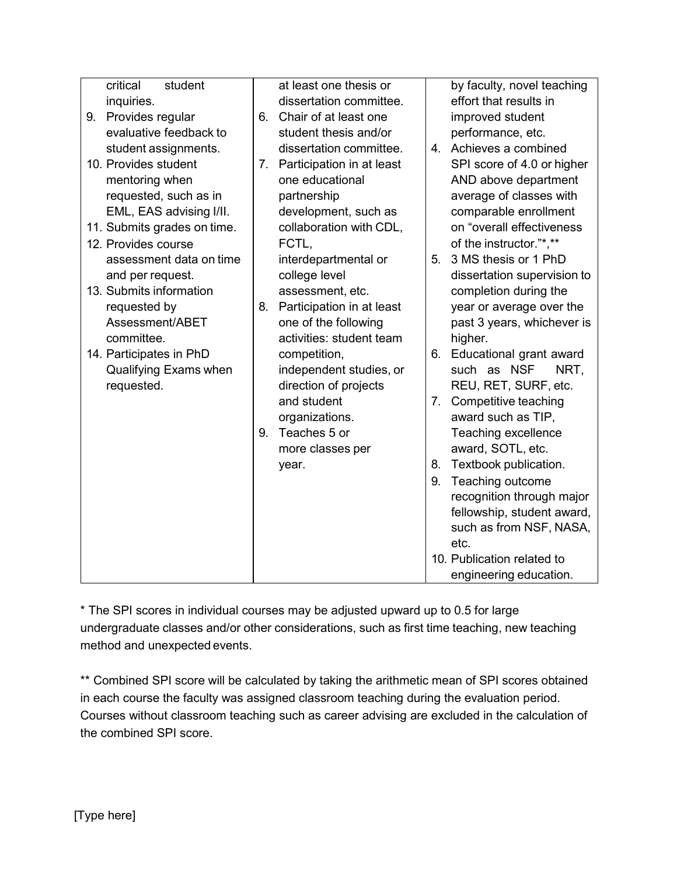| student<br>critical         | at least one thesis or          | by faculty, novel teaching    |
|-----------------------------|---------------------------------|-------------------------------|
| inquiries.                  | dissertation committee.         | effort that results in        |
| 9. Provides regular         | Chair of at least one<br>6.     | improved student              |
| evaluative feedback to      | student thesis and/or           | performance, etc.             |
| student assignments.        | dissertation committee.         | 4. Achieves a combined        |
| 10. Provides student        | 7. Participation in at least    | SPI score of 4.0 or higher    |
| mentoring when              | one educational                 | AND above department          |
| requested, such as in       | partnership                     | average of classes with       |
| EML, EAS advising I/II.     | development, such as            | comparable enrollment         |
| 11. Submits grades on time. | collaboration with CDL,         | on "overall effectiveness     |
| 12. Provides course         | FCTL,                           | of the instructor."*,**       |
| assessment data on time     | interdepartmental or            | 3 MS thesis or 1 PhD<br>5.    |
| and per request.            | college level                   | dissertation supervision to   |
| 13. Submits information     | assessment, etc.                | completion during the         |
| requested by                | Participation in at least<br>8. | year or average over the      |
| Assessment/ABET             | one of the following            | past 3 years, whichever is    |
| committee.                  | activities: student team        | higher.                       |
| 14. Participates in PhD     | competition,                    | Educational grant award<br>6. |
| Qualifying Exams when       | independent studies, or         | such as NSF<br>NRT,           |
| requested.                  | direction of projects           | REU, RET, SURF, etc.          |
|                             | and student                     | Competitive teaching<br>7.    |
|                             | organizations.                  | award such as TIP,            |
|                             | Teaches 5 or<br>9.              | Teaching excellence           |
|                             | more classes per                | award, SOTL, etc.             |
|                             | year.                           | Textbook publication.<br>8.   |
|                             |                                 | Teaching outcome<br>9.        |
|                             |                                 | recognition through major     |
|                             |                                 | fellowship, student award,    |
|                             |                                 | such as from NSF, NASA,       |
|                             |                                 | etc.                          |
|                             |                                 | 10. Publication related to    |
|                             |                                 | engineering education.        |

\* The SPI scores in individual courses may be adjusted upward up to 0.5 for large undergraduate classes and/or other considerations, such as first time teaching, new teaching method and unexpected events.

\*\* Combined SPI score will be calculated by taking the arithmetic mean of SPI scores obtained in each course the faculty was assigned classroom teaching during the evaluation period. Courses without classroom teaching such as career advising are excluded in the calculation of the combined SPI score.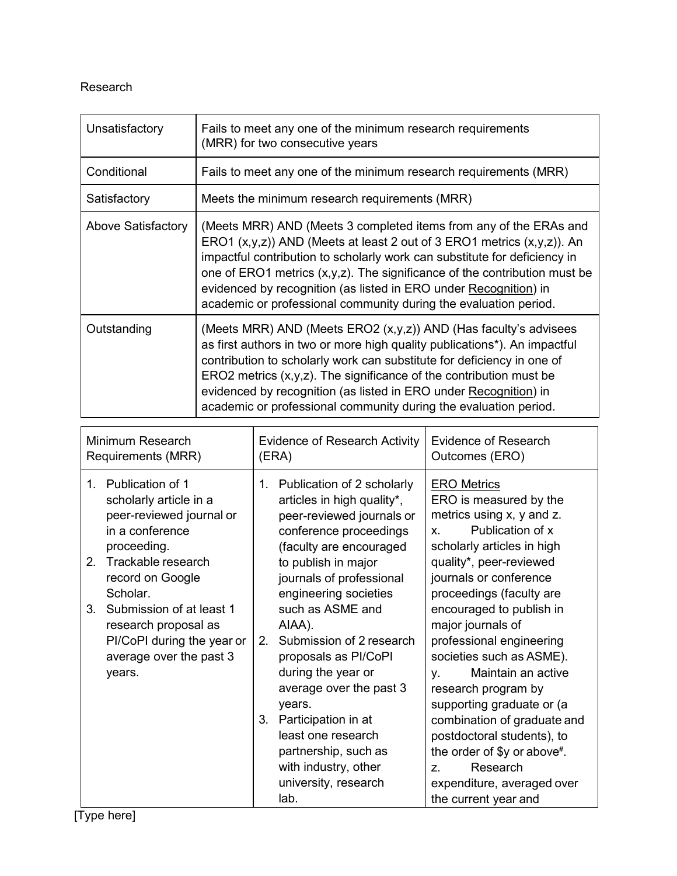#### Research

| Unsatisfactory     | Fails to meet any one of the minimum research requirements<br>(MRR) for two consecutive years                                                                                                                                                                                                                                                                                                                                                            |
|--------------------|----------------------------------------------------------------------------------------------------------------------------------------------------------------------------------------------------------------------------------------------------------------------------------------------------------------------------------------------------------------------------------------------------------------------------------------------------------|
| Conditional        | Fails to meet any one of the minimum research requirements (MRR)                                                                                                                                                                                                                                                                                                                                                                                         |
| Satisfactory       | Meets the minimum research requirements (MRR)                                                                                                                                                                                                                                                                                                                                                                                                            |
| Above Satisfactory | (Meets MRR) AND (Meets 3 completed items from any of the ERAs and<br>ERO1 $(x,y,z)$ ) AND (Meets at least 2 out of 3 ERO1 metrics $(x,y,z)$ ). An<br>impactful contribution to scholarly work can substitute for deficiency in<br>one of ERO1 metrics $(x, y, z)$ . The significance of the contribution must be<br>evidenced by recognition (as listed in ERO under Recognition) in<br>academic or professional community during the evaluation period. |
| Outstanding        | (Meets MRR) AND (Meets ERO2 $(x, y, z)$ ) AND (Has faculty's advisees<br>as first authors in two or more high quality publications*). An impactful<br>contribution to scholarly work can substitute for deficiency in one of<br>ERO2 metrics $(x,y,z)$ . The significance of the contribution must be<br>evidenced by recognition (as listed in ERO under Recognition) in<br>academic or professional community during the evaluation period.            |

| Minimum Research<br>Requirements (MRR)                                                                                                                                                                                                                                                                                   | <b>Evidence of Research Activity</b><br>(ERA)                                                                                                                                                                                                                                                                                                                                                                                                                                                                                  | Evidence of Research<br>Outcomes (ERO)                                                                                                                                                                                                                                                                                                                                                                                                                                                                                                                       |  |  |
|--------------------------------------------------------------------------------------------------------------------------------------------------------------------------------------------------------------------------------------------------------------------------------------------------------------------------|--------------------------------------------------------------------------------------------------------------------------------------------------------------------------------------------------------------------------------------------------------------------------------------------------------------------------------------------------------------------------------------------------------------------------------------------------------------------------------------------------------------------------------|--------------------------------------------------------------------------------------------------------------------------------------------------------------------------------------------------------------------------------------------------------------------------------------------------------------------------------------------------------------------------------------------------------------------------------------------------------------------------------------------------------------------------------------------------------------|--|--|
| Publication of 1<br>$1_{-}$<br>scholarly article in a<br>peer-reviewed journal or<br>in a conference<br>proceeding.<br>Trackable research<br>2 <sup>1</sup><br>record on Google<br>Scholar.<br>Submission of at least 1<br>3.<br>research proposal as<br>PI/CoPI during the year or<br>average over the past 3<br>years. | Publication of 2 scholarly<br>1.<br>articles in high quality*,<br>peer-reviewed journals or<br>conference proceedings<br>(faculty are encouraged<br>to publish in major<br>journals of professional<br>engineering societies<br>such as ASME and<br>AIAA).<br>Submission of 2 research<br>2 <sub>1</sub><br>proposals as PI/CoPI<br>during the year or<br>average over the past 3<br>years.<br>Participation in at<br>3.<br>least one research<br>partnership, such as<br>with industry, other<br>university, research<br>lab. | <b>ERO Metrics</b><br>ERO is measured by the<br>metrics using x, y and z.<br>Publication of x<br>$X_{-}$<br>scholarly articles in high<br>quality*, peer-reviewed<br>journals or conference<br>proceedings (faculty are<br>encouraged to publish in<br>major journals of<br>professional engineering<br>societies such as ASME).<br>Maintain an active<br>у.<br>research program by<br>supporting graduate or (a<br>combination of graduate and<br>postdoctoral students), to<br>the order of \$y or above#.<br>Research<br>Z.<br>expenditure, averaged over |  |  |
|                                                                                                                                                                                                                                                                                                                          |                                                                                                                                                                                                                                                                                                                                                                                                                                                                                                                                | the current year and                                                                                                                                                                                                                                                                                                                                                                                                                                                                                                                                         |  |  |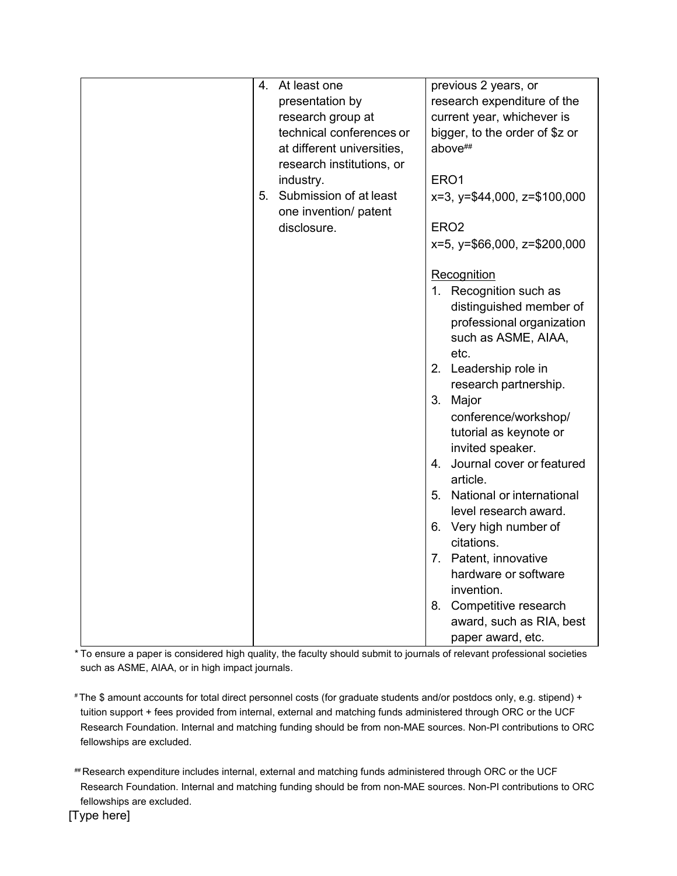| 4. | At least one               | previous 2 years, or                 |
|----|----------------------------|--------------------------------------|
|    | presentation by            | research expenditure of the          |
|    | research group at          | current year, whichever is           |
|    | technical conferences or   | bigger, to the order of \$z or       |
|    | at different universities, | above##                              |
|    | research institutions, or  |                                      |
|    | industry.                  | ERO1                                 |
|    | 5. Submission of at least  | $x=3$ , $y= $44,000$ , $z= $100,000$ |
|    | one invention/ patent      |                                      |
|    | disclosure.                | ERO <sub>2</sub>                     |
|    |                            | x=5, y=\$66,000, z=\$200,000         |
|    |                            |                                      |
|    |                            | Recognition                          |
|    |                            | 1. Recognition such as               |
|    |                            | distinguished member of              |
|    |                            | professional organization            |
|    |                            | such as ASME, AIAA,                  |
|    |                            | etc.                                 |
|    |                            | 2. Leadership role in                |
|    |                            | research partnership.                |
|    |                            | 3.<br>Major                          |
|    |                            | conference/workshop/                 |
|    |                            | tutorial as keynote or               |
|    |                            | invited speaker.                     |
|    |                            | Journal cover or featured<br>4.      |
|    |                            | article.                             |
|    |                            | 5. National or international         |
|    |                            | level research award.                |
|    |                            | 6. Very high number of               |
|    |                            | citations.                           |
|    |                            | 7. Patent, innovative                |
|    |                            | hardware or software                 |
|    |                            | invention.                           |
|    |                            | Competitive research<br>8.           |
|    |                            | award, such as RIA, best             |
|    |                            | paper award, etc.                    |
|    |                            |                                      |

\* To ensure a paper is considered high quality, the faculty should submit to journals of relevant professional societies such as ASME, AIAA, or in high impact journals.

# The \$ amount accounts for total direct personnel costs (for graduate students and/or postdocs only, e.g. stipend) + tuition support + fees provided from internal, external and matching funds administered through ORC or the UCF Research Foundation. Internal and matching funding should be from non-MAE sources. Non-PI contributions to ORC fellowships are excluded.

## Research expenditure includes internal, external and matching funds administered through ORC or the UCF Research Foundation. Internal and matching funding should be from non-MAE sources. Non-PI contributions to ORC fellowships are excluded.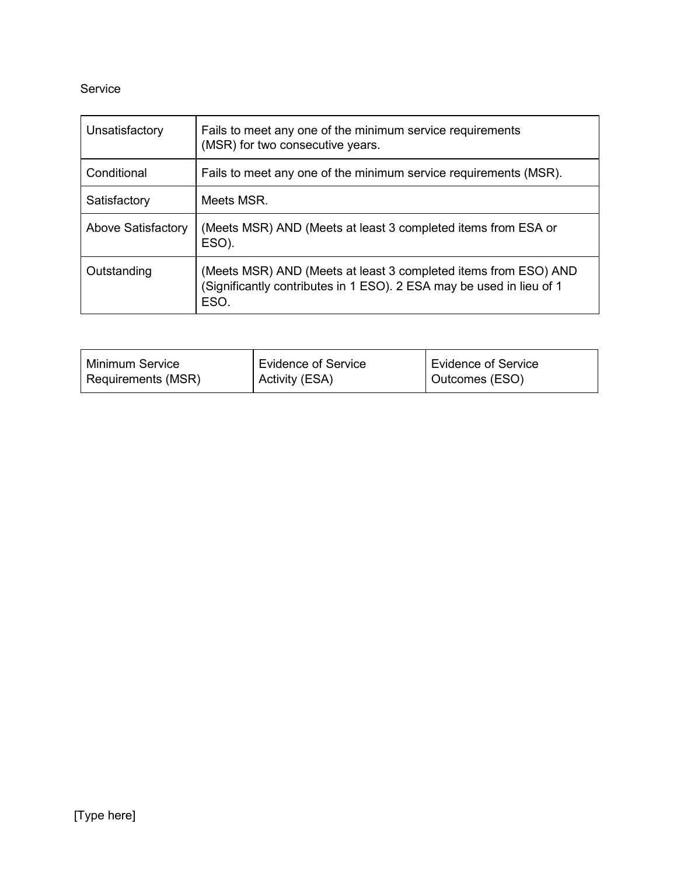## Service

| Unsatisfactory            | Fails to meet any one of the minimum service requirements<br>(MSR) for two consecutive years.                                                   |
|---------------------------|-------------------------------------------------------------------------------------------------------------------------------------------------|
| Conditional               | Fails to meet any one of the minimum service requirements (MSR).                                                                                |
| Satisfactory              | Meets MSR.                                                                                                                                      |
| <b>Above Satisfactory</b> | (Meets MSR) AND (Meets at least 3 completed items from ESA or<br>ESO).                                                                          |
| Outstanding               | (Meets MSR) AND (Meets at least 3 completed items from ESO) AND<br>(Significantly contributes in 1 ESO). 2 ESA may be used in lieu of 1<br>ESO. |

| Minimum Service    | Evidence of Service | Evidence of Service |
|--------------------|---------------------|---------------------|
| Requirements (MSR) | Activity (ESA)      | Outcomes (ESO)      |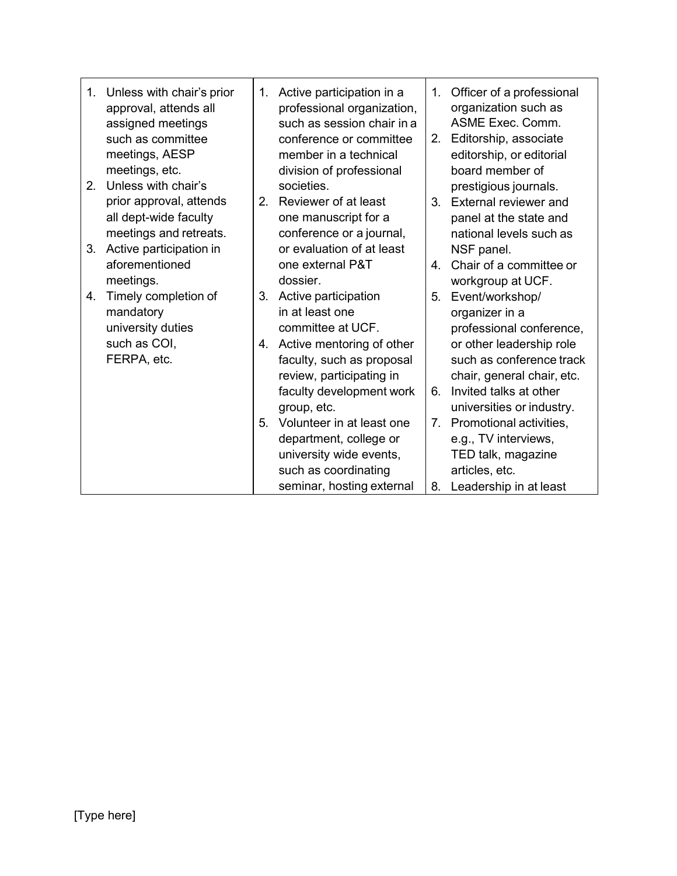|                | 1. Unless with chair's prior<br>approval, attends all<br>assigned meetings<br>such as committee<br>meetings, AESP<br>meetings, etc. | 1.             | Active participation in a<br>professional organization,<br>such as session chair in a<br>conference or committee<br>member in a technical<br>division of professional | 1.<br>2.       | Officer of a professional<br>organization such as<br>ASME Exec. Comm.<br>Editorship, associate<br>editorship, or editorial<br>board member of |
|----------------|-------------------------------------------------------------------------------------------------------------------------------------|----------------|-----------------------------------------------------------------------------------------------------------------------------------------------------------------------|----------------|-----------------------------------------------------------------------------------------------------------------------------------------------|
| 2 <sub>1</sub> | Unless with chair's<br>prior approval, attends<br>all dept-wide faculty<br>meetings and retreats.                                   | 2 <sub>1</sub> | societies.<br>Reviewer of at least<br>one manuscript for a<br>conference or a journal,                                                                                | 3 <sub>1</sub> | prestigious journals.<br>External reviewer and<br>panel at the state and<br>national levels such as                                           |
| 3.             | Active participation in<br>aforementioned<br>meetings.                                                                              |                | or evaluation of at least<br>one external P&T<br>dossier.                                                                                                             | $4_{\cdot}$    | NSF panel.<br>Chair of a committee or<br>workgroup at UCF.                                                                                    |
| 4.             | Timely completion of<br>mandatory<br>university duties                                                                              | 3.             | Active participation<br>in at least one<br>committee at UCF.                                                                                                          | 5.             | Event/workshop/<br>organizer in a<br>professional conference,                                                                                 |
|                | such as COI,<br>FERPA, etc.                                                                                                         |                | 4. Active mentoring of other<br>faculty, such as proposal<br>review, participating in<br>faculty development work                                                     | 6.             | or other leadership role<br>such as conference track<br>chair, general chair, etc.<br>Invited talks at other                                  |
|                |                                                                                                                                     | 5.             | group, etc.<br>Volunteer in at least one                                                                                                                              | 7.             | universities or industry.<br>Promotional activities,                                                                                          |
|                |                                                                                                                                     |                | department, college or<br>university wide events,<br>such as coordinating<br>seminar, hosting external                                                                | 8.             | e.g., TV interviews,<br>TED talk, magazine<br>articles, etc.<br>Leadership in at least                                                        |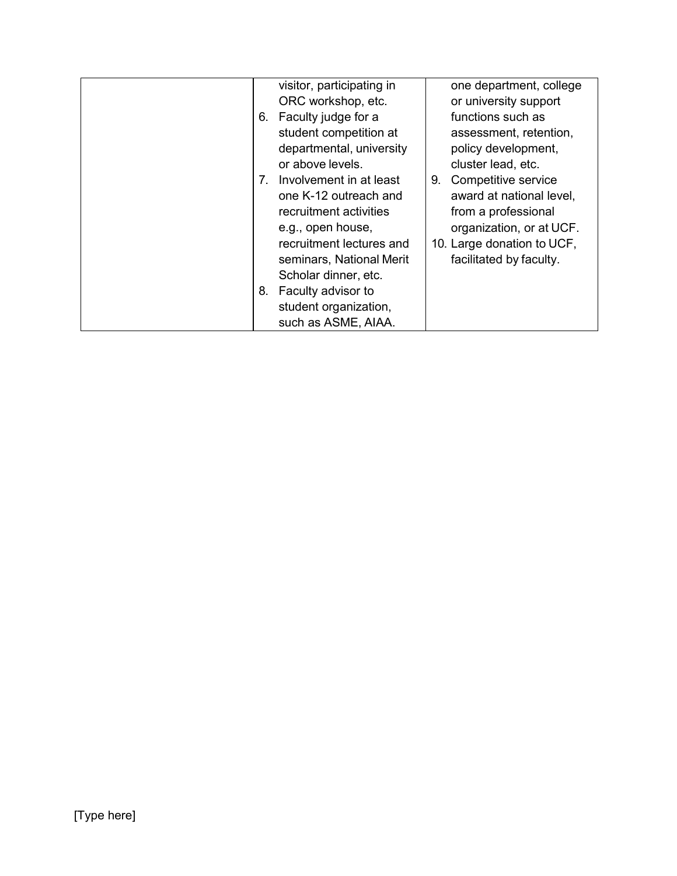|                                  | visitor, participating in |    | one department, college    |
|----------------------------------|---------------------------|----|----------------------------|
|                                  | ORC workshop, etc.        |    | or university support      |
| 6.                               | Faculty judge for a       |    | functions such as          |
|                                  | student competition at    |    | assessment, retention,     |
|                                  | departmental, university  |    | policy development,        |
|                                  | or above levels.          |    | cluster lead, etc.         |
| $7_{\scriptscriptstyle{\ddots}}$ | Involvement in at least   | 9. | Competitive service        |
|                                  | one K-12 outreach and     |    | award at national level,   |
|                                  | recruitment activities    |    | from a professional        |
|                                  | e.g., open house,         |    | organization, or at UCF.   |
|                                  | recruitment lectures and  |    | 10. Large donation to UCF, |
|                                  | seminars, National Merit  |    | facilitated by faculty.    |
|                                  | Scholar dinner, etc.      |    |                            |
| 8.                               | Faculty advisor to        |    |                            |
|                                  | student organization,     |    |                            |
|                                  | such as ASME, AIAA.       |    |                            |
|                                  |                           |    |                            |